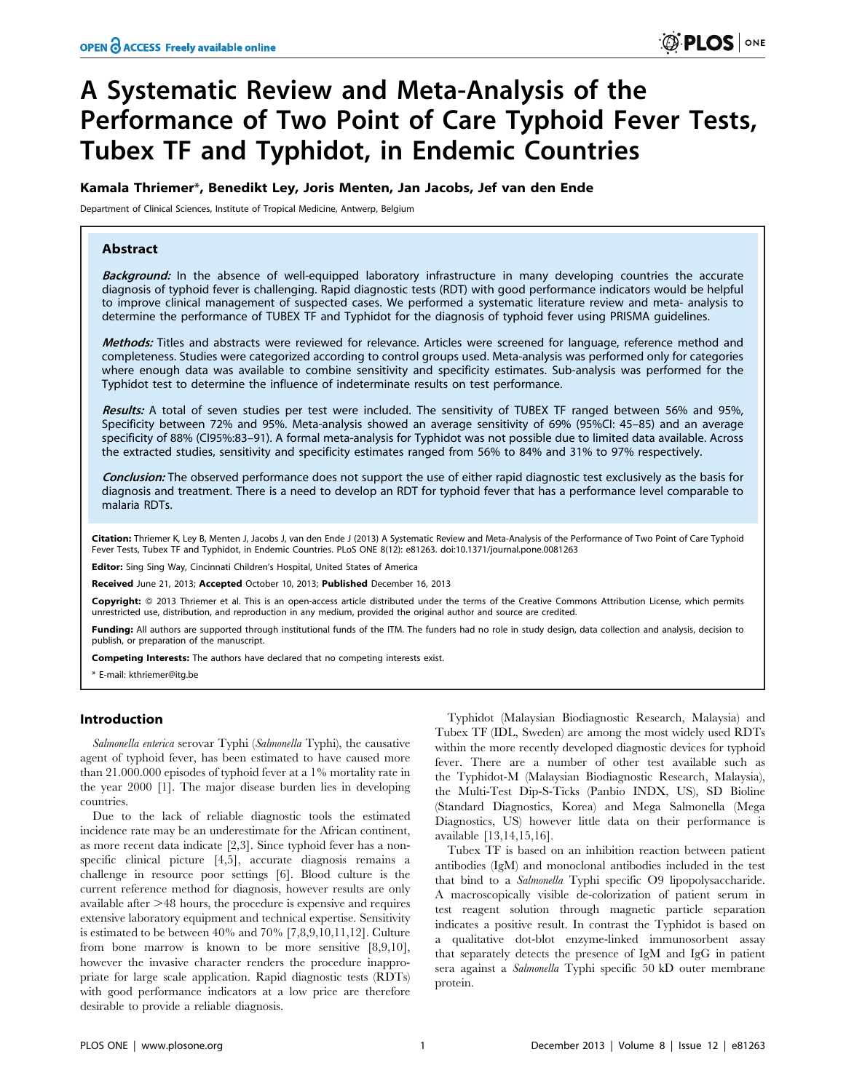# A Systematic Review and Meta-Analysis of the Performance of Two Point of Care Typhoid Fever Tests, Tubex TF and Typhidot, in Endemic Countries

## Kamala Thriemer\*, Benedikt Ley, Joris Menten, Jan Jacobs, Jef van den Ende

Department of Clinical Sciences, Institute of Tropical Medicine, Antwerp, Belgium

# Abstract

Background: In the absence of well-equipped laboratory infrastructure in many developing countries the accurate diagnosis of typhoid fever is challenging. Rapid diagnostic tests (RDT) with good performance indicators would be helpful to improve clinical management of suspected cases. We performed a systematic literature review and meta- analysis to determine the performance of TUBEX TF and Typhidot for the diagnosis of typhoid fever using PRISMA guidelines.

Methods: Titles and abstracts were reviewed for relevance. Articles were screened for language, reference method and completeness. Studies were categorized according to control groups used. Meta-analysis was performed only for categories where enough data was available to combine sensitivity and specificity estimates. Sub-analysis was performed for the Typhidot test to determine the influence of indeterminate results on test performance.

Results: A total of seven studies per test were included. The sensitivity of TUBEX TF ranged between 56% and 95%, Specificity between 72% and 95%. Meta-analysis showed an average sensitivity of 69% (95%CI: 45–85) and an average specificity of 88% (CI95%:83–91). A formal meta-analysis for Typhidot was not possible due to limited data available. Across the extracted studies, sensitivity and specificity estimates ranged from 56% to 84% and 31% to 97% respectively.

Conclusion: The observed performance does not support the use of either rapid diagnostic test exclusively as the basis for diagnosis and treatment. There is a need to develop an RDT for typhoid fever that has a performance level comparable to malaria RDTs.

Citation: Thriemer K, Ley B, Menten J, Jacobs J, van den Ende J (2013) A Systematic Review and Meta-Analysis of the Performance of Two Point of Care Typhoid Fever Tests, Tubex TF and Typhidot, in Endemic Countries. PLoS ONE 8(12): e81263. doi:10.1371/journal.pone.0081263

Editor: Sing Sing Way, Cincinnati Children's Hospital, United States of America

Received June 21, 2013; Accepted October 10, 2013; Published December 16, 2013

Copyright: © 2013 Thriemer et al. This is an open-access article distributed under the terms of the Creative Commons Attribution License, which permits unrestricted use, distribution, and reproduction in any medium, provided the original author and source are credited.

Funding: All authors are supported through institutional funds of the ITM. The funders had no role in study design, data collection and analysis, decision to publish, or preparation of the manuscript.

Competing Interests: The authors have declared that no competing interests exist.

\* E-mail: kthriemer@itg.be

## Introduction

Salmonella enterica serovar Typhi (Salmonella Typhi), the causative agent of typhoid fever, has been estimated to have caused more than 21.000.000 episodes of typhoid fever at a 1% mortality rate in the year 2000 [1]. The major disease burden lies in developing countries.

Due to the lack of reliable diagnostic tools the estimated incidence rate may be an underestimate for the African continent, as more recent data indicate [2,3]. Since typhoid fever has a nonspecific clinical picture [4,5], accurate diagnosis remains a challenge in resource poor settings [6]. Blood culture is the current reference method for diagnosis, however results are only available after  $>48$  hours, the procedure is expensive and requires extensive laboratory equipment and technical expertise. Sensitivity is estimated to be between 40% and 70% [7,8,9,10,11,12]. Culture from bone marrow is known to be more sensitive [8,9,10], however the invasive character renders the procedure inappropriate for large scale application. Rapid diagnostic tests (RDTs) with good performance indicators at a low price are therefore desirable to provide a reliable diagnosis.

Typhidot (Malaysian Biodiagnostic Research, Malaysia) and Tubex TF (IDL, Sweden) are among the most widely used RDTs within the more recently developed diagnostic devices for typhoid fever. There are a number of other test available such as the Typhidot-M (Malaysian Biodiagnostic Research, Malaysia), the Multi-Test Dip-S-Ticks (Panbio INDX, US), SD Bioline (Standard Diagnostics, Korea) and Mega Salmonella (Mega Diagnostics, US) however little data on their performance is available [13,14,15,16].

Tubex TF is based on an inhibition reaction between patient antibodies (IgM) and monoclonal antibodies included in the test that bind to a Salmonella Typhi specific O9 lipopolysaccharide. A macroscopically visible de-colorization of patient serum in test reagent solution through magnetic particle separation indicates a positive result. In contrast the Typhidot is based on a qualitative dot-blot enzyme-linked immunosorbent assay that separately detects the presence of IgM and IgG in patient sera against a Salmonella Typhi specific 50 kD outer membrane protein.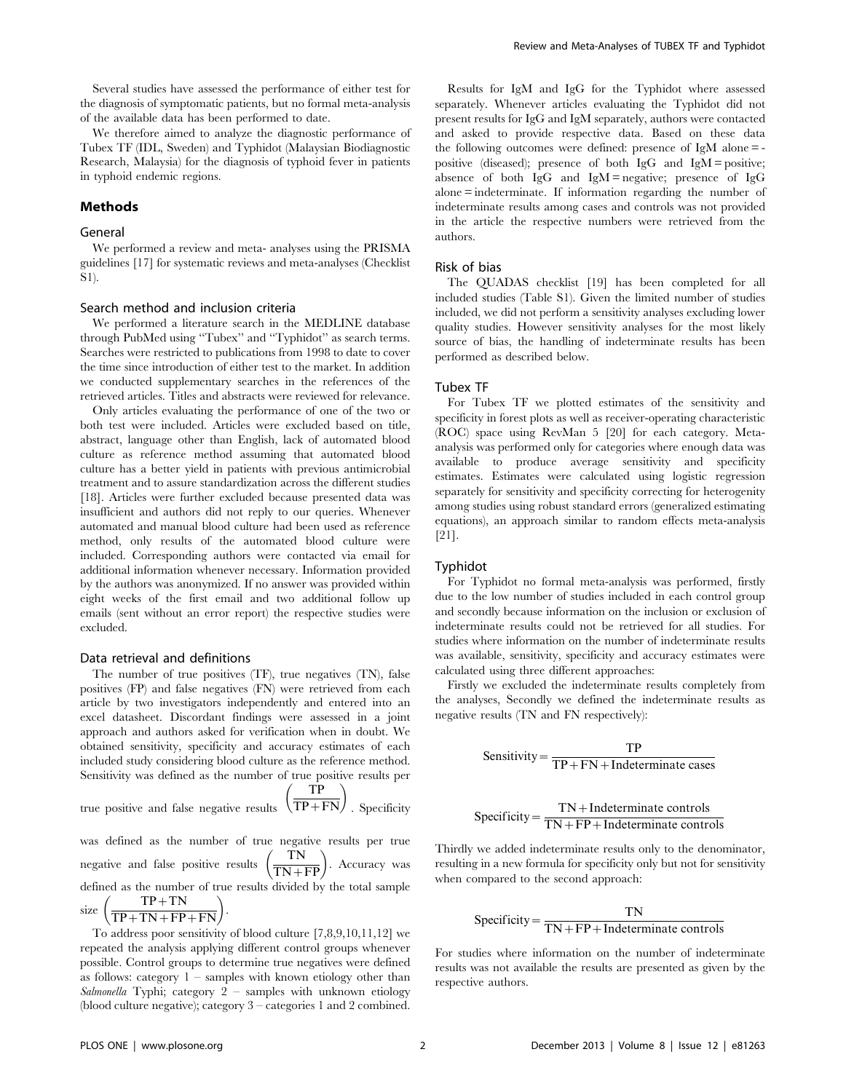Several studies have assessed the performance of either test for the diagnosis of symptomatic patients, but no formal meta-analysis of the available data has been performed to date.

We therefore aimed to analyze the diagnostic performance of Tubex TF (IDL, Sweden) and Typhidot (Malaysian Biodiagnostic Research, Malaysia) for the diagnosis of typhoid fever in patients in typhoid endemic regions.

## Methods

## General

We performed a review and meta- analyses using the PRISMA guidelines [17] for systematic reviews and meta-analyses (Checklist S1).

#### Search method and inclusion criteria

We performed a literature search in the MEDLINE database through PubMed using ''Tubex'' and ''Typhidot'' as search terms. Searches were restricted to publications from 1998 to date to cover the time since introduction of either test to the market. In addition we conducted supplementary searches in the references of the retrieved articles. Titles and abstracts were reviewed for relevance.

Only articles evaluating the performance of one of the two or both test were included. Articles were excluded based on title, abstract, language other than English, lack of automated blood culture as reference method assuming that automated blood culture has a better yield in patients with previous antimicrobial treatment and to assure standardization across the different studies [18]. Articles were further excluded because presented data was insufficient and authors did not reply to our queries. Whenever automated and manual blood culture had been used as reference method, only results of the automated blood culture were included. Corresponding authors were contacted via email for additional information whenever necessary. Information provided by the authors was anonymized. If no answer was provided within eight weeks of the first email and two additional follow up emails (sent without an error report) the respective studies were excluded.

#### Data retrieval and definitions

The number of true positives (TF), true negatives (TN), false positives (FP) and false negatives (FN) were retrieved from each article by two investigators independently and entered into an excel datasheet. Discordant findings were assessed in a joint approach and authors asked for verification when in doubt. We obtained sensitivity, specificity and accuracy estimates of each included study considering blood culture as the reference method. Sensitivity was defined as the number of true positive results per true positive and false negative results  $\begin{pmatrix} \nTP \\
\overline{TP+FN} \\
\end{pmatrix}$ TP

$$
\frac{\overline{TP}}{\overline{TP} + \overline{FN}}
$$
 g <sub>pecificity</sub>

was defined as the number of true negative results per true negative and false positive results  $\frac{TN}{TN+FP}$ . Accuracy was defined as the number of true results divided by the total sample size  $\left(\frac{\text{TP} + \text{TN}}{\text{TP} + \text{TN} + \text{FP} + \text{FN}}\right)$ .

To address poor sensitivity of blood culture [7,8,9,10,11,12] we repeated the analysis applying different control groups whenever possible. Control groups to determine true negatives were defined as follows: category  $1$  – samples with known etiology other than Salmonella Typhi; category 2 – samples with unknown etiology (blood culture negative); category 3 – categories 1 and 2 combined.

Results for IgM and IgG for the Typhidot where assessed separately. Whenever articles evaluating the Typhidot did not present results for IgG and IgM separately, authors were contacted and asked to provide respective data. Based on these data the following outcomes were defined: presence of IgM alone  $=$  positive (diseased); presence of both  $IgG$  and  $IgM =$  positive; absence of both IgG and  $IgM$  = negative; presence of IgG alone = indeterminate. If information regarding the number of indeterminate results among cases and controls was not provided in the article the respective numbers were retrieved from the authors.

#### Risk of bias

The QUADAS checklist [19] has been completed for all included studies (Table S1). Given the limited number of studies included, we did not perform a sensitivity analyses excluding lower quality studies. However sensitivity analyses for the most likely source of bias, the handling of indeterminate results has been performed as described below.

#### Tubex TF

For Tubex TF we plotted estimates of the sensitivity and specificity in forest plots as well as receiver-operating characteristic (ROC) space using RevMan 5 [20] for each category. Metaanalysis was performed only for categories where enough data was available to produce average sensitivity and specificity estimates. Estimates were calculated using logistic regression separately for sensitivity and specificity correcting for heterogenity among studies using robust standard errors (generalized estimating equations), an approach similar to random effects meta-analysis [21].

#### Typhidot

For Typhidot no formal meta-analysis was performed, firstly due to the low number of studies included in each control group and secondly because information on the inclusion or exclusion of indeterminate results could not be retrieved for all studies. For studies where information on the number of indeterminate results was available, sensitivity, specificity and accuracy estimates were calculated using three different approaches:

Firstly we excluded the indeterminate results completely from the analyses, Secondly we defined the indeterminate results as negative results (TN and FN respectively):

$$
Sensitivity = \frac{TP}{TP + FN + Indeterminate cases}
$$

$$
Specificity = \frac{TN + Indeterminate controls}{TN + FP + Indeterminate controls}
$$

Thirdly we added indeterminate results only to the denominator, resulting in a new formula for specificity only but not for sensitivity when compared to the second approach:

$$
Specificity = \frac{TN}{TN + FP + Indeterminate controls}
$$

For studies where information on the number of indeterminate results was not available the results are presented as given by the respective authors.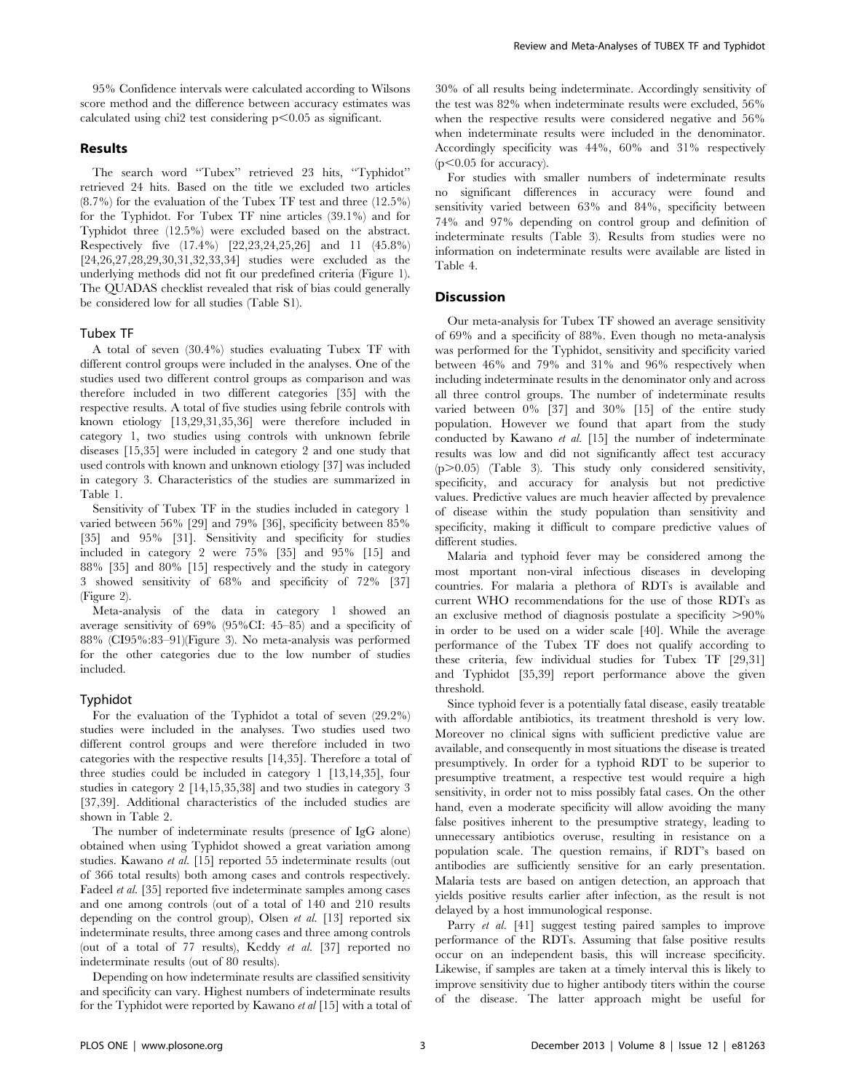95% Confidence intervals were calculated according to Wilsons score method and the difference between accuracy estimates was calculated using chi2 test considering  $p<0.05$  as significant.

# Results

The search word ''Tubex'' retrieved 23 hits, ''Typhidot'' retrieved 24 hits. Based on the title we excluded two articles (8.7%) for the evaluation of the Tubex TF test and three (12.5%) for the Typhidot. For Tubex TF nine articles (39.1%) and for Typhidot three (12.5%) were excluded based on the abstract. Respectively five (17.4%) [22,23,24,25,26] and 11 (45.8%) [24,26,27,28,29,30,31,32,33,34] studies were excluded as the underlying methods did not fit our predefined criteria (Figure 1). The QUADAS checklist revealed that risk of bias could generally be considered low for all studies (Table S1).

## Tubex TF

A total of seven (30.4%) studies evaluating Tubex TF with different control groups were included in the analyses. One of the studies used two different control groups as comparison and was therefore included in two different categories [35] with the respective results. A total of five studies using febrile controls with known etiology [13,29,31,35,36] were therefore included in category 1, two studies using controls with unknown febrile diseases [15,35] were included in category 2 and one study that used controls with known and unknown etiology [37] was included in category 3. Characteristics of the studies are summarized in Table 1.

Sensitivity of Tubex TF in the studies included in category 1 varied between 56% [29] and 79% [36], specificity between 85% [35] and 95% [31]. Sensitivity and specificity for studies included in category 2 were 75% [35] and 95% [15] and 88% [35] and 80% [15] respectively and the study in category 3 showed sensitivity of 68% and specificity of 72% [37] (Figure 2).

Meta-analysis of the data in category 1 showed an average sensitivity of 69% (95%CI: 45–85) and a specificity of 88% (CI95%:83–91)(Figure 3). No meta-analysis was performed for the other categories due to the low number of studies included.

## Typhidot

For the evaluation of the Typhidot a total of seven (29.2%) studies were included in the analyses. Two studies used two different control groups and were therefore included in two categories with the respective results [14,35]. Therefore a total of three studies could be included in category 1 [13,14,35], four studies in category 2 [14,15,35,38] and two studies in category 3 [37,39]. Additional characteristics of the included studies are shown in Table 2.

The number of indeterminate results (presence of IgG alone) obtained when using Typhidot showed a great variation among studies. Kawano et al. [15] reported 55 indeterminate results (out of 366 total results) both among cases and controls respectively. Fadeel et al. [35] reported five indeterminate samples among cases and one among controls (out of a total of 140 and 210 results depending on the control group), Olsen et al. [13] reported six indeterminate results, three among cases and three among controls (out of a total of 77 results), Keddy et al. [37] reported no indeterminate results (out of 80 results).

Depending on how indeterminate results are classified sensitivity and specificity can vary. Highest numbers of indeterminate results for the Typhidot were reported by Kawano *et al* [15] with a total of 30% of all results being indeterminate. Accordingly sensitivity of the test was 82% when indeterminate results were excluded, 56% when the respective results were considered negative and 56% when indeterminate results were included in the denominator. Accordingly specificity was 44%, 60% and 31% respectively  $(p<0.05$  for accuracy).

For studies with smaller numbers of indeterminate results no significant differences in accuracy were found and sensitivity varied between 63% and 84%, specificity between 74% and 97% depending on control group and definition of indeterminate results (Table 3). Results from studies were no information on indeterminate results were available are listed in Table 4.

## **Discussion**

Our meta-analysis for Tubex TF showed an average sensitivity of 69% and a specificity of 88%. Even though no meta-analysis was performed for the Typhidot, sensitivity and specificity varied between 46% and 79% and 31% and 96% respectively when including indeterminate results in the denominator only and across all three control groups. The number of indeterminate results varied between 0% [37] and 30% [15] of the entire study population. However we found that apart from the study conducted by Kawano et al. [15] the number of indeterminate results was low and did not significantly affect test accuracy  $(p>0.05)$  (Table 3). This study only considered sensitivity, specificity, and accuracy for analysis but not predictive values. Predictive values are much heavier affected by prevalence of disease within the study population than sensitivity and specificity, making it difficult to compare predictive values of different studies.

Malaria and typhoid fever may be considered among the most mportant non-viral infectious diseases in developing countries. For malaria a plethora of RDTs is available and current WHO recommendations for the use of those RDTs as an exclusive method of diagnosis postulate a specificity  $>90\%$ in order to be used on a wider scale [40]. While the average performance of the Tubex TF does not qualify according to these criteria, few individual studies for Tubex TF [29,31] and Typhidot [35,39] report performance above the given threshold.

Since typhoid fever is a potentially fatal disease, easily treatable with affordable antibiotics, its treatment threshold is very low. Moreover no clinical signs with sufficient predictive value are available, and consequently in most situations the disease is treated presumptively. In order for a typhoid RDT to be superior to presumptive treatment, a respective test would require a high sensitivity, in order not to miss possibly fatal cases. On the other hand, even a moderate specificity will allow avoiding the many false positives inherent to the presumptive strategy, leading to unnecessary antibiotics overuse, resulting in resistance on a population scale. The question remains, if RDT's based on antibodies are sufficiently sensitive for an early presentation. Malaria tests are based on antigen detection, an approach that yields positive results earlier after infection, as the result is not delayed by a host immunological response.

Parry et al. [41] suggest testing paired samples to improve performance of the RDTs. Assuming that false positive results occur on an independent basis, this will increase specificity. Likewise, if samples are taken at a timely interval this is likely to improve sensitivity due to higher antibody titers within the course of the disease. The latter approach might be useful for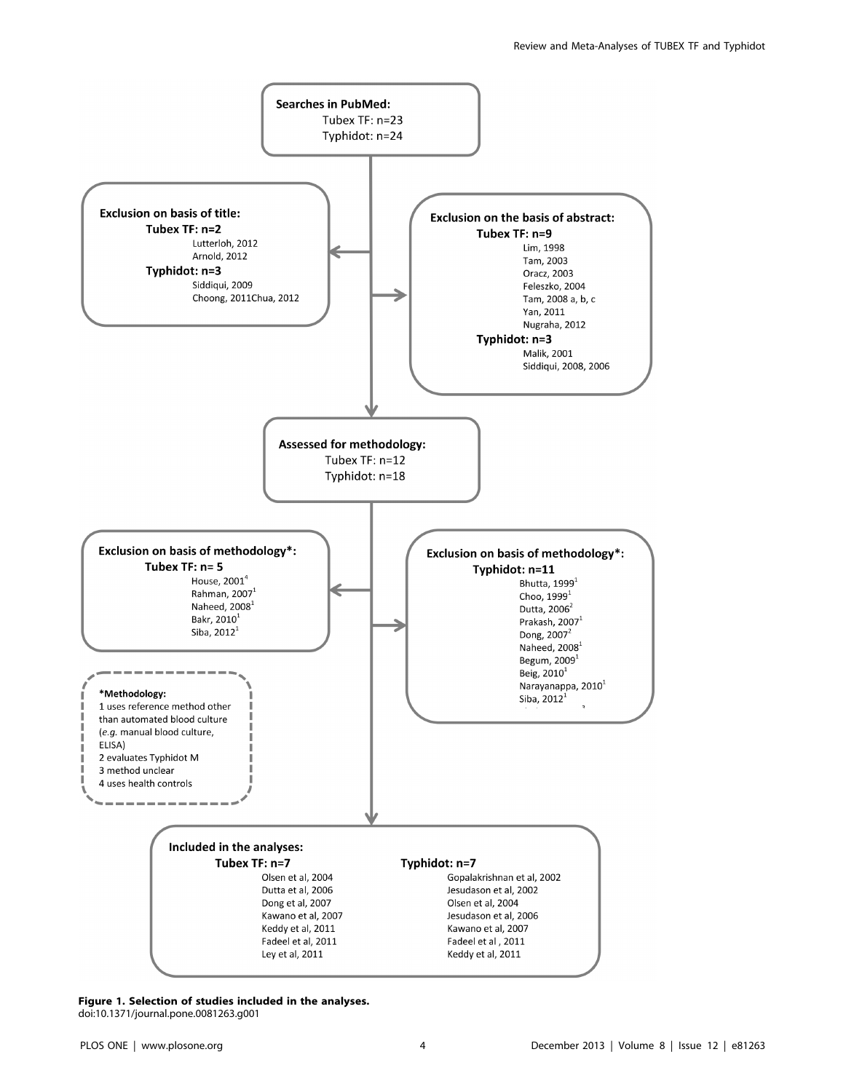

Figure 1. Selection of studies included in the analyses. doi:10.1371/journal.pone.0081263.g001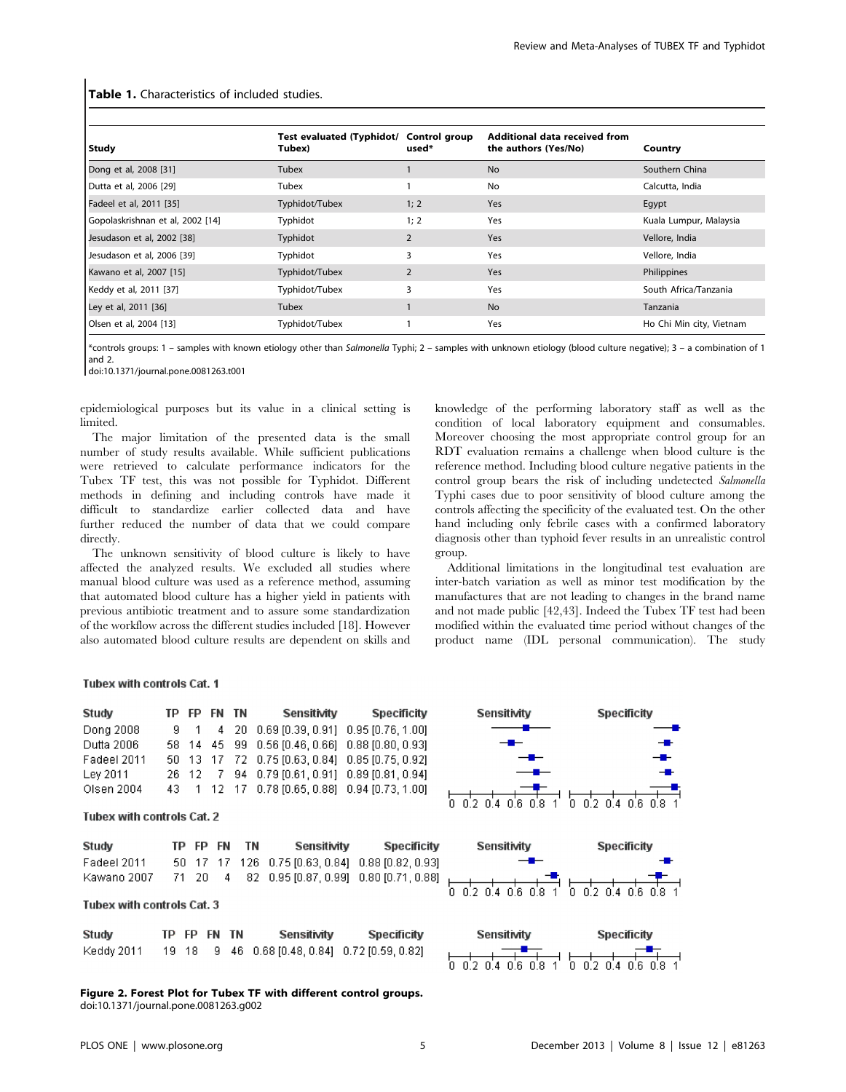| Study                            | Test evaluated (Typhidot/ Control group<br>Tubex) | used*          | Additional data received from<br>the authors (Yes/No) | Country                  |
|----------------------------------|---------------------------------------------------|----------------|-------------------------------------------------------|--------------------------|
| Dong et al, 2008 [31]            | Tubex                                             |                | <b>No</b>                                             | Southern China           |
| Dutta et al, 2006 [29]           | Tubex                                             |                | No                                                    | Calcutta, India          |
| Fadeel et al, 2011 [35]          | Typhidot/Tubex                                    | 1; 2           | <b>Yes</b>                                            | Egypt                    |
| Gopolaskrishnan et al, 2002 [14] | Typhidot                                          | 1; 2           | Yes                                                   | Kuala Lumpur, Malaysia   |
| Jesudason et al, 2002 [38]       | Typhidot                                          | $\overline{2}$ | Yes                                                   | Vellore, India           |
| Jesudason et al, 2006 [39]       | Typhidot                                          | 3              | Yes                                                   | Vellore, India           |
| Kawano et al, 2007 [15]          | Typhidot/Tubex                                    | $\overline{2}$ | Yes                                                   | Philippines              |
| Keddy et al, 2011 [37]           | Typhidot/Tubex                                    | 3              | Yes                                                   | South Africa/Tanzania    |
| Ley et al, 2011 [36]             | Tubex                                             |                | <b>No</b>                                             | Tanzania                 |
| Olsen et al, 2004 [13]           | Typhidot/Tubex                                    |                | Yes                                                   | Ho Chi Min city, Vietnam |

Table 1. Characteristics of included studies.

\*controls groups: 1 – samples with known etiology other than Salmonella Typhi; 2 – samples with unknown etiology (blood culture negative); 3 – a combination of 1 and 2.

doi:10.1371/journal.pone.0081263.t001

epidemiological purposes but its value in a clinical setting is limited.

The major limitation of the presented data is the small number of study results available. While sufficient publications were retrieved to calculate performance indicators for the Tubex TF test, this was not possible for Typhidot. Different methods in defining and including controls have made it difficult to standardize earlier collected data and have further reduced the number of data that we could compare directly.

The unknown sensitivity of blood culture is likely to have affected the analyzed results. We excluded all studies where manual blood culture was used as a reference method, assuming that automated blood culture has a higher yield in patients with previous antibiotic treatment and to assure some standardization of the workflow across the different studies included [18]. However also automated blood culture results are dependent on skills and knowledge of the performing laboratory staff as well as the condition of local laboratory equipment and consumables. Moreover choosing the most appropriate control group for an RDT evaluation remains a challenge when blood culture is the reference method. Including blood culture negative patients in the control group bears the risk of including undetected Salmonella Typhi cases due to poor sensitivity of blood culture among the controls affecting the specificity of the evaluated test. On the other hand including only febrile cases with a confirmed laboratory diagnosis other than typhoid fever results in an unrealistic control group.

Additional limitations in the longitudinal test evaluation are inter-batch variation as well as minor test modification by the manufactures that are not leading to changes in the brand name and not made public [42,43]. Indeed the Tubex TF test had been modified within the evaluated time period without changes of the product name (IDL personal communication). The study

#### Tubex with controls Cat. 1

| Study       |  |  | TP FP FN TN Sensitivity                         | Specificity |
|-------------|--|--|-------------------------------------------------|-------------|
| Dona 2008   |  |  | 9 1 4 20 0.69 [0.39, 0.91] 0.95 [0.76, 1.00]    |             |
| Dutta 2006  |  |  | 58 14 45 99 0.56 [0.46, 0.66] 0.88 [0.80, 0.93] |             |
| Fadeel 2011 |  |  | 50 13 17 72 0.75 [0.63, 0.84] 0.85 [0.75, 0.92] |             |
| Lev 2011    |  |  | 26 12 7 94 0.79 [0.61, 0.91] 0.89 [0.81, 0.94]  |             |
| Olsen 2004  |  |  | 43 1 12 17 0.78 [0.65, 0.88] 0.94 [0.73, 1.00]  |             |

#### **Tubex with controls Cat. 2**

| Study        | TP FP FN | TN. | Sensitivity                                      | Specificity |
|--------------|----------|-----|--------------------------------------------------|-------------|
| Fadeel 2011. |          |     | 50 17 17 126 0.75 [0.63, 0.84] 0.88 [0.82, 0.93] |             |
| Kawano 2007. | 71 20    |     | 4 82 0.95 [0.87, 0.99] 0.80 [0.71, 0.88]         |             |

# Tubex with controls Cat. 3

| <b>Study</b> |  | TP FP FN TN | Sensitivity                                    | Specificity |
|--------------|--|-------------|------------------------------------------------|-------------|
| Keddy 2011   |  |             | 19 18 9 46 0.68 [0.48, 0.84] 0.72 [0.59, 0.82] |             |





| Sensitivity |                                 |  |  |  |  |  | <b>Specificity</b> |  |  |  |
|-------------|---------------------------------|--|--|--|--|--|--------------------|--|--|--|
|             |                                 |  |  |  |  |  |                    |  |  |  |
|             | 0 02 04 06 08 1 0 02 04 06 08 1 |  |  |  |  |  |                    |  |  |  |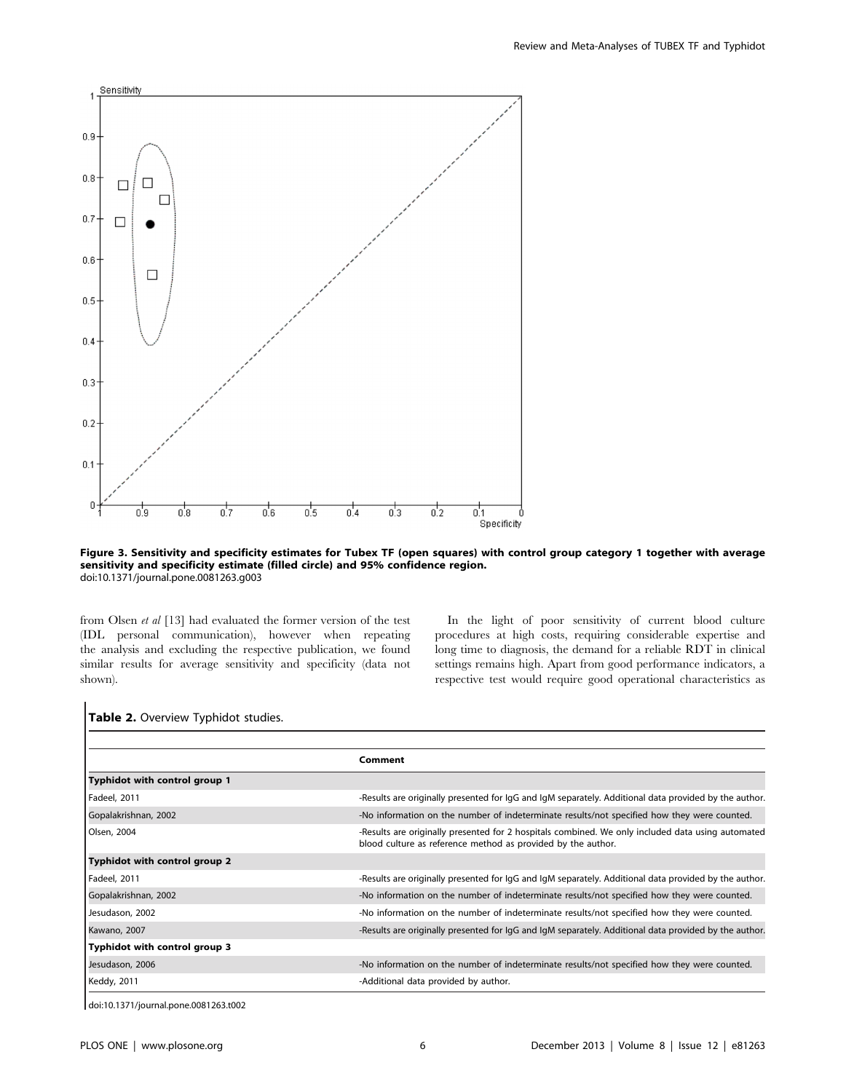

Figure 3. Sensitivity and specificity estimates for Tubex TF (open squares) with control group category 1 together with average sensitivity and specificity estimate (filled circle) and 95% confidence region. doi:10.1371/journal.pone.0081263.g003

from Olsen et al [13] had evaluated the former version of the test (IDL personal communication), however when repeating the analysis and excluding the respective publication, we found similar results for average sensitivity and specificity (data not shown).

In the light of poor sensitivity of current blood culture procedures at high costs, requiring considerable expertise and long time to diagnosis, the demand for a reliable RDT in clinical settings remains high. Apart from good performance indicators, a respective test would require good operational characteristics as

# Table 2. Overview Typhidot studies.

|                               | Comment                                                                                                                                                           |
|-------------------------------|-------------------------------------------------------------------------------------------------------------------------------------------------------------------|
| Typhidot with control group 1 |                                                                                                                                                                   |
| Fadeel, 2011                  | -Results are originally presented for IgG and IgM separately. Additional data provided by the author.                                                             |
| Gopalakrishnan, 2002          | -No information on the number of indeterminate results/not specified how they were counted.                                                                       |
| Olsen, 2004                   | -Results are originally presented for 2 hospitals combined. We only included data using automated<br>blood culture as reference method as provided by the author. |
| Typhidot with control group 2 |                                                                                                                                                                   |
| Fadeel, 2011                  | -Results are originally presented for IgG and IgM separately. Additional data provided by the author.                                                             |
| Gopalakrishnan, 2002          | -No information on the number of indeterminate results/not specified how they were counted.                                                                       |
| Jesudason, 2002               | -No information on the number of indeterminate results/not specified how they were counted.                                                                       |
| Kawano, 2007                  | -Results are originally presented for IgG and IgM separately. Additional data provided by the author.                                                             |
| Typhidot with control group 3 |                                                                                                                                                                   |
| Jesudason, 2006               | -No information on the number of indeterminate results/not specified how they were counted.                                                                       |
| Keddy, 2011                   | -Additional data provided by author.                                                                                                                              |

doi:10.1371/journal.pone.0081263.t002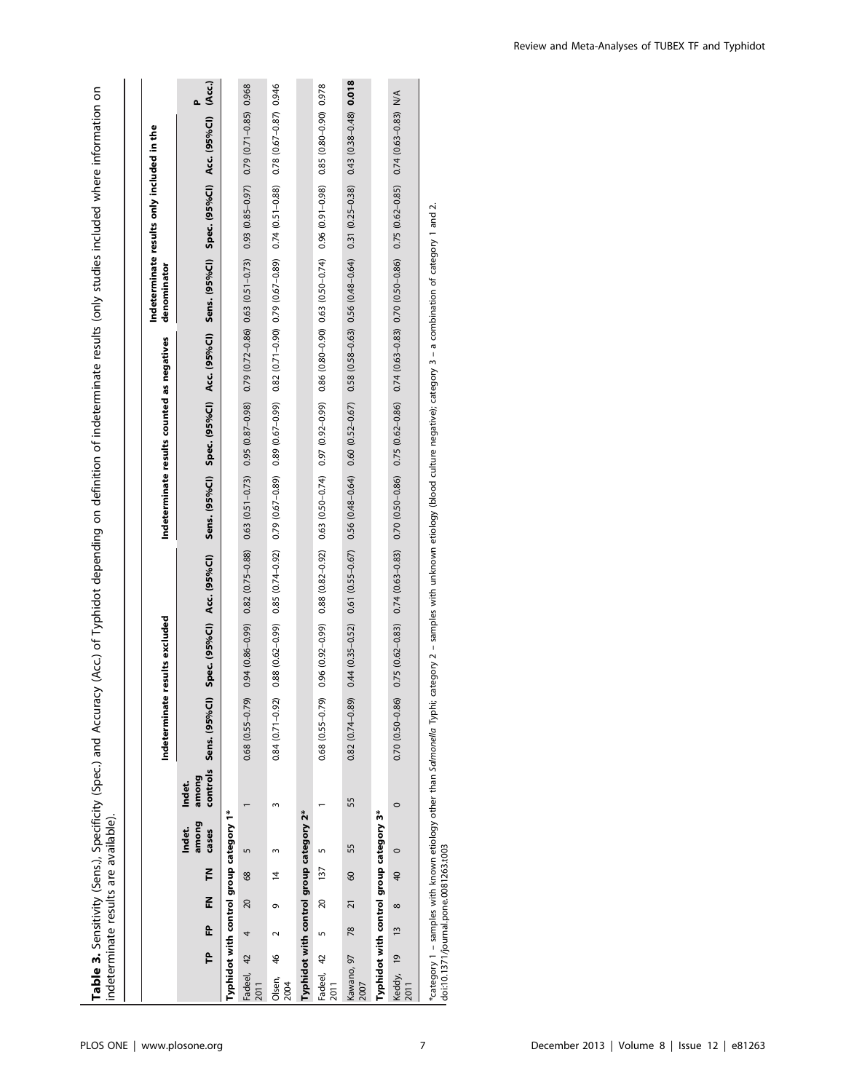| indeterminate results are available).   |    |                            |                       |    |                          |                 |                        |                            |  |                                            |             |                                            | Table 3. Sensitivity (Sens.), Specificity (Spec.) and Accuracy (Acc.) of Typhidot depending on definition of indeterminate results (only studies included where information on                                                 |  |
|-----------------------------------------|----|----------------------------|-----------------------|----|--------------------------|-----------------|------------------------|----------------------------|--|--------------------------------------------|-------------|--------------------------------------------|--------------------------------------------------------------------------------------------------------------------------------------------------------------------------------------------------------------------------------|--|
|                                         |    |                            |                       |    |                          |                 |                        |                            |  |                                            |             |                                            |                                                                                                                                                                                                                                |  |
|                                         |    |                            |                       |    |                          |                 | Indeterminate          | e results excluded         |  | Indeterminate results counted as negatives | denominator | Indeterminate results only included in the |                                                                                                                                                                                                                                |  |
|                                         | Բ  | £                          | Ē<br>료                |    | among<br>Indet.<br>cases | among<br>Indet. | controls Sens. (95%CI) | Spec. (95%Cl) Acc. (95%Cl) |  |                                            |             |                                            | Sens. (95%Cl) Spec. (95%Cl) Acc. (95%Cl) Sens. (95%Cl) Spec. (95%Cl) Acc. (95%Cl) (Acc.)                                                                                                                                       |  |
| Typhidot with control group category 1* |    |                            |                       |    |                          |                 |                        |                            |  |                                            |             |                                            |                                                                                                                                                                                                                                |  |
| Fadeel, 42                              |    | 4                          | 68<br>20              | 5  |                          |                 | $0.68$ $(0.55 - 0.79)$ |                            |  |                                            |             |                                            | 0.94 (0.86-0.99) 0.82 (0.75-0.88) 0.63 (0.51-0.73) 0.95 (0.87-0.98) 0.979 (0.72-0.86) 0.63 (0.51-0.73) 0.99 (0.85-0.97) 0.71-0.85) 0.968                                                                                       |  |
| Olsen, 46<br>2004                       |    | ō                          | $\overline{4}$        |    |                          |                 | $0.84(0.71 - 0.92)$    |                            |  |                                            |             |                                            |                                                                                                                                                                                                                                |  |
| Typhidot with control group category 2* |    |                            |                       |    |                          |                 |                        |                            |  |                                            |             |                                            |                                                                                                                                                                                                                                |  |
| Fadeel, 42                              | Lŋ |                            | 20 137                |    |                          |                 | $0.68$ $(0.55 - 0.79)$ |                            |  |                                            |             |                                            | 0.320 (0.61-0.81 (0.81 (0.81 (0.51 (0.74) 0.74) 0.63 (0.51 (0.62) 0.63 (0.62 (0.86 (0.82 (0.524) 0.63 (0.524) 0.526 (0.81 (0.928 (0.828 (0.828 (0.828 (0.828 (0.828 (0.828 (0.828 (0.828 (0.828 (0.828 (0.828 (0.828 (0.828 (0 |  |
| Kawano, 97<br>2007                      |    | $\frac{8}{2}$              | 60<br>$\overline{21}$ | 55 | 55                       |                 | $0.82(0.74 - 0.89)$    |                            |  |                                            |             |                                            | $0.44 (0.35-0.52) \quad 0.61 (0.55-0.67) \quad 0.56 (0.48-0.64) \quad 0.60 (0.52-0.67) \quad 0.58 (0.58-0.63) \quad 0.56 (0.48-0.64) \quad 0.51 (0.25-0.38) \quad 0.478 (0.35-0.48) \quad 0.018$                               |  |
| Typhidot with control group category 3* |    |                            |                       |    |                          |                 |                        |                            |  |                                            |             |                                            |                                                                                                                                                                                                                                |  |
| Keddy, 19                               |    | $\infty$<br>$\frac{13}{2}$ | $\overline{4}$        |    | $\circ$                  |                 | $0.70(0.50 - 0.86)$    |                            |  |                                            |             |                                            | 0.75 (0.62-0.83) 0.74 (0.63-0.83) 0.70 (0.50-0.86) 0.75 (0.62-0.86) 0.74 (0.63-0.83) 0.70 (0.50-0.86) 0.75 (0.62-0.85) 0.74 (0.63-0.83) N/A                                                                                    |  |
|                                         |    |                            |                       |    |                          |                 |                        |                            |  |                                            |             |                                            |                                                                                                                                                                                                                                |  |

\*category 1 – samples with known etiology other than *Salmonello* Typhi; category 2 – samples with unknown etiology (blood culture negative); category 3 – a combination of category 1 and 2.<br>doi:10.1371/journal.pone.0081263 \*category 1 – samples with known etiology other than Salmonella Typhi; category 2 – samples with unknown etiology (blood culture negative); category 3 – a combination of category 1 and 2. doi:10.1371/journal.pone.0081263.t003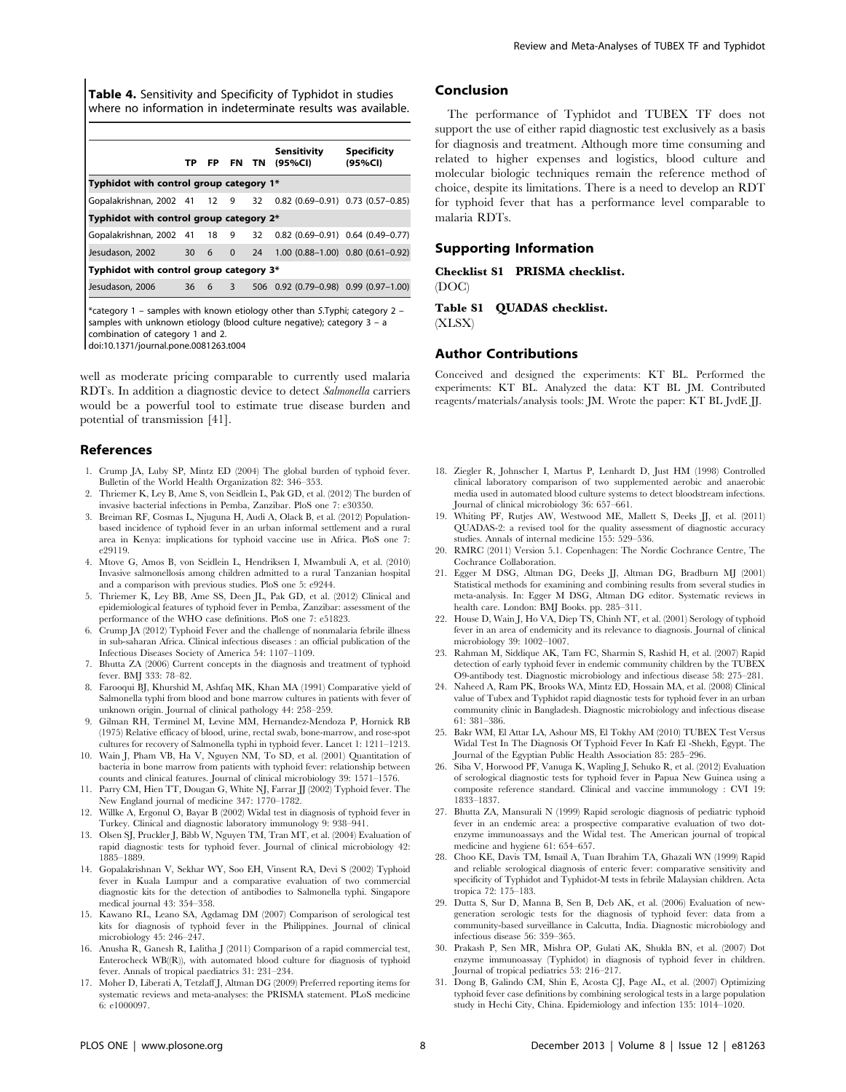Table 4. Sensitivity and Specificity of Typhidot in studies where no information in indeterminate results was available.

|                                         |  |        |    | Sensitivity<br>TP FP FN TN (95%CI)      | <b>Specificity</b><br>(95%CI) |
|-----------------------------------------|--|--------|----|-----------------------------------------|-------------------------------|
| Typhidot with control group category 1* |  |        |    |                                         |                               |
| Gopalakrishnan, 2002 41 12 9 32         |  |        |    | $0.82$ (0.69-0.91) $0.73$ (0.57-0.85)   |                               |
| Typhidot with control group category 2* |  |        |    |                                         |                               |
| Gopalakrishnan, 2002 41 18 9 32         |  |        |    | $0.82$ (0.69-0.91) 0.64 (0.49-0.77)     |                               |
| Jesudason, 2002                         |  | 30 6 0 | 24 | $1.00$ $(0.88-1.00)$ 0.80 $(0.61-0.92)$ |                               |
| Typhidot with control group category 3* |  |        |    |                                         |                               |
| Jesudason, 2006                         |  | 36 6 3 |    | 506 0.92 (0.79-0.98) 0.99 (0.97-1.00)   |                               |
|                                         |  |        |    |                                         |                               |

\*category 1 – samples with known etiology other than S.Typhi; category 2 – samples with unknown etiology (blood culture negative); category 3 – a combination of category 1 and 2. doi:10.1371/journal.pone.0081263.t004

well as moderate pricing comparable to currently used malaria RDTs. In addition a diagnostic device to detect Salmonella carriers would be a powerful tool to estimate true disease burden and potential of transmission [41].

## References

- 1. Crump JA, Luby SP, Mintz ED (2004) The global burden of typhoid fever. Bulletin of the World Health Organization 82: 346–353.
- 2. Thriemer K, Ley B, Ame S, von Seidlein L, Pak GD, et al. (2012) The burden of invasive bacterial infections in Pemba, Zanzibar. PloS one 7: e30350.
- 3. Breiman RF, Cosmas L, Njuguna H, Audi A, Olack B, et al. (2012) Populationbased incidence of typhoid fever in an urban informal settlement and a rural area in Kenya: implications for typhoid vaccine use in Africa. PloS one 7: e29119.
- 4. Mtove G, Amos B, von Seidlein L, Hendriksen I, Mwambuli A, et al. (2010) Invasive salmonellosis among children admitted to a rural Tanzanian hospital and a comparison with previous studies. PloS one 5: e9244.
- 5. Thriemer K, Ley BB, Ame SS, Deen JL, Pak GD, et al. (2012) Clinical and epidemiological features of typhoid fever in Pemba, Zanzibar: assessment of the performance of the WHO case definitions. PloS one 7: e51823.
- 6. Crump JA (2012) Typhoid Fever and the challenge of nonmalaria febrile illness in sub-saharan Africa. Clinical infectious diseases : an official publication of the Infectious Diseases Society of America 54: 1107–1109.
- 7. Bhutta ZA (2006) Current concepts in the diagnosis and treatment of typhoid fever. BMJ 333: 78–82.
- 8. Farooqui BJ, Khurshid M, Ashfaq MK, Khan MA (1991) Comparative yield of Salmonella typhi from blood and bone marrow cultures in patients with fever of unknown origin. Journal of clinical pathology 44: 258–259.
- 9. Gilman RH, Terminel M, Levine MM, Hernandez-Mendoza P, Hornick RB (1975) Relative efficacy of blood, urine, rectal swab, bone-marrow, and rose-spot cultures for recovery of Salmonella typhi in typhoid fever. Lancet 1: 1211–1213.
- 10. Wain J, Pham VB, Ha V, Nguyen NM, To SD, et al. (2001) Quantitation of bacteria in bone marrow from patients with typhoid fever: relationship between counts and clinical features. Journal of clinical microbiology 39: 1571–1576.
- 11. Parry CM, Hien TT, Dougan G, White NJ, Farrar JJ (2002) Typhoid fever. The New England journal of medicine 347: 1770–1782.
- 12. Willke A, Ergonul O, Bayar B (2002) Widal test in diagnosis of typhoid fever in Turkey. Clinical and diagnostic laboratory immunology 9: 938–941.
- 13. Olsen SJ, Pruckler J, Bibb W, Nguyen TM, Tran MT, et al. (2004) Evaluation of rapid diagnostic tests for typhoid fever. Journal of clinical microbiology 42: 1885–1889.
- 14. Gopalakrishnan V, Sekhar WY, Soo EH, Vinsent RA, Devi S (2002) Typhoid fever in Kuala Lumpur and a comparative evaluation of two commercial diagnostic kits for the detection of antibodies to Salmonella typhi. Singapore medical journal 43: 354–358.
- 15. Kawano RL, Leano SA, Agdamag DM (2007) Comparison of serological test kits for diagnosis of typhoid fever in the Philippines. Journal of clinical microbiology 45: 246–247.
- 16. Anusha R, Ganesh R, Lalitha J (2011) Comparison of a rapid commercial test, Enterocheck WB((R)), with automated blood culture for diagnosis of typhoid fever. Annals of tropical paediatrics 31: 231–234.
- 17. Moher D, Liberati A, Tetzlaff J, Altman DG (2009) Preferred reporting items for systematic reviews and meta-analyses: the PRISMA statement. PLoS medicine 6: e1000097.

## Conclusion

The performance of Typhidot and TUBEX TF does not support the use of either rapid diagnostic test exclusively as a basis for diagnosis and treatment. Although more time consuming and related to higher expenses and logistics, blood culture and molecular biologic techniques remain the reference method of choice, despite its limitations. There is a need to develop an RDT for typhoid fever that has a performance level comparable to malaria RDTs.

# Supporting Information

Checklist S1 PRISMA checklist.

(DOC)

Table S1 QUADAS checklist. (XLSX)

## Author Contributions

Conceived and designed the experiments: KT BL. Performed the experiments: KT BL. Analyzed the data: KT BL JM. Contributed reagents/materials/analysis tools: JM. Wrote the paper: KT BL JvdE JJ.

- 18. Ziegler R, Johnscher I, Martus P, Lenhardt D, Just HM (1998) Controlled clinical laboratory comparison of two supplemented aerobic and anaerobic media used in automated blood culture systems to detect bloodstream infections. Journal of clinical microbiology 36: 657–661.
- 19. Whiting PF, Rutjes AW, Westwood ME, Mallett S, Deeks JJ, et al. (2011) QUADAS-2: a revised tool for the quality assessment of diagnostic accuracy studies. Annals of internal medicine 155: 529–536.
- 20. RMRC (2011) Version 5.1. Copenhagen: The Nordic Cochrance Centre, The Cochrance Collaboration.
- 21. Egger M DSG, Altman DG, Deeks JJ, Altman DG, Bradburn MJ (2001) Statistical methods for examining and combining results from several studies in meta-analysis. In: Egger M DSG, Altman DG editor. Systematic reviews in health care. London: BMJ Books. pp. 285–311.
- 22. House D, Wain J, Ho VA, Diep TS, Chinh NT, et al. (2001) Serology of typhoid fever in an area of endemicity and its relevance to diagnosis. Journal of clinical microbiology 39: 1002–1007.
- 23. Rahman M, Siddique AK, Tam FC, Sharmin S, Rashid H, et al. (2007) Rapid detection of early typhoid fever in endemic community children by the TUBEX O9-antibody test. Diagnostic microbiology and infectious disease 58: 275–281.
- 24. Naheed A, Ram PK, Brooks WA, Mintz ED, Hossain MA, et al. (2008) Clinical value of Tubex and Typhidot rapid diagnostic tests for typhoid fever in an urban community clinic in Bangladesh. Diagnostic microbiology and infectious disease 61: 381–386.
- 25. Bakr WM, El Attar LA, Ashour MS, El Tokhy AM (2010) TUBEX Test Versus Widal Test In The Diagnosis Of Typhoid Fever In Kafr El -Shekh, Egypt. The Journal of the Egyptian Public Health Association 85: 285–296.
- 26. Siba V, Horwood PF, Vanuga K, Wapling J, Sehuko R, et al. (2012) Evaluation of serological diagnostic tests for typhoid fever in Papua New Guinea using a composite reference standard. Clinical and vaccine immunology : CVI 19: 1833–1837.
- 27. Bhutta ZA, Mansurali N (1999) Rapid serologic diagnosis of pediatric typhoid fever in an endemic area: a prospective comparative evaluation of two dotenzyme immunoassays and the Widal test. The American journal of tropical medicine and hygiene 61: 654–657.
- 28. Choo KE, Davis TM, Ismail A, Tuan Ibrahim TA, Ghazali WN (1999) Rapid and reliable serological diagnosis of enteric fever: comparative sensitivity and specificity of Typhidot and Typhidot-M tests in febrile Malaysian children. Acta tropica 72: 175–183.
- 29. Dutta S, Sur D, Manna B, Sen B, Deb AK, et al. (2006) Evaluation of newgeneration serologic tests for the diagnosis of typhoid fever: data from a community-based surveillance in Calcutta, India. Diagnostic microbiology and infectious disease 56: 359–365.
- 30. Prakash P, Sen MR, Mishra OP, Gulati AK, Shukla BN, et al. (2007) Dot enzyme immunoassay (Typhidot) in diagnosis of typhoid fever in children. Journal of tropical pediatrics 53: 216–217.
- 31. Dong B, Galindo CM, Shin E, Acosta CJ, Page AL, et al. (2007) Optimizing typhoid fever case definitions by combining serological tests in a large population study in Hechi City, China. Epidemiology and infection 135: 1014–1020.